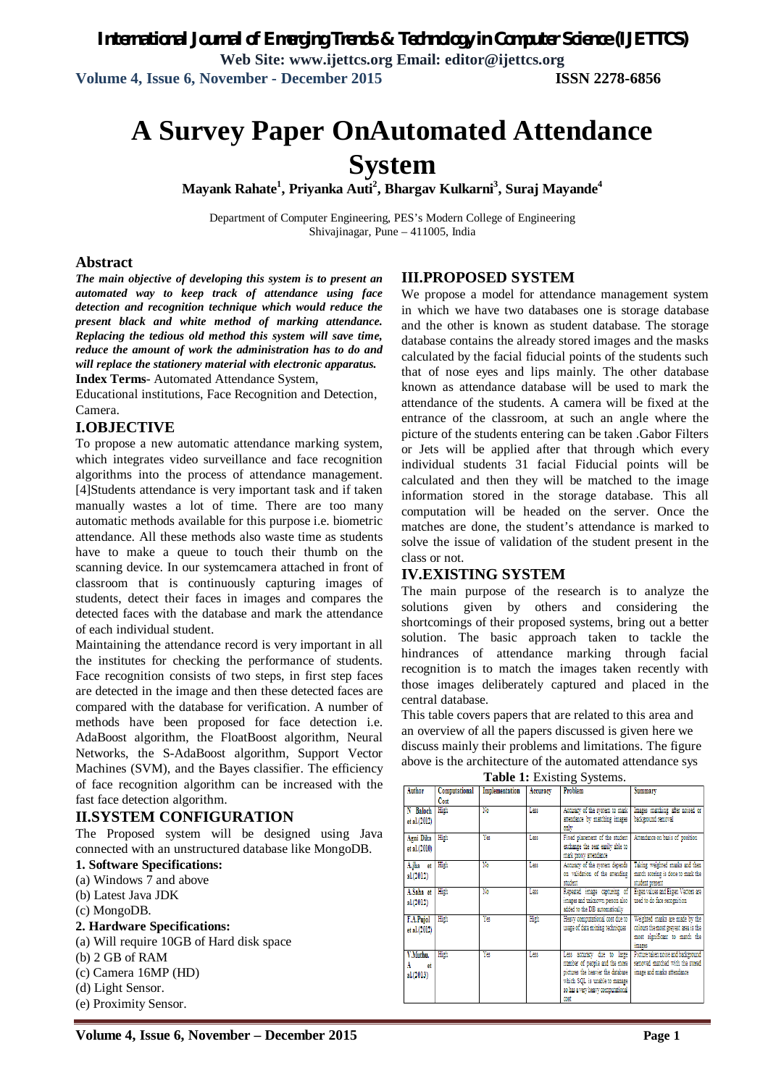*International Journal of Emerging Trends & Technology in Computer Science (IJETTCS)* **Web Site: www.ijettcs.org Email: editor@ijettcs.org Volume 4, Issue 6, November - December 2015 ISSN 2278-6856**

# **A Survey Paper OnAutomated Attendance System**

**Mayank Rahate<sup>1</sup> , Priyanka Auti<sup>2</sup> , Bhargav Kulkarni<sup>3</sup> , Suraj Mayande<sup>4</sup>**

Department of Computer Engineering, PES's Modern College of Engineering Shivajinagar, Pune – 411005, India

#### **Abstract**

*The main objective of developing this system is to present an automated way to keep track of attendance using face detection and recognition technique which would reduce the present black and white method of marking attendance. Replacing the tedious old method this system will save time, reduce the amount of work the administration has to do and will replace the stationery material with electronic apparatus.* **Index Terms**- Automated Attendance System,

Educational institutions, Face Recognition and Detection, Camera.

#### **I.OBJECTIVE**

To propose a new automatic attendance marking system, which integrates video surveillance and face recognition algorithms into the process of attendance management. [4]Students attendance is very important task and if taken manually wastes a lot of time. There are too many automatic methods available for this purpose i.e. biometric attendance. All these methods also waste time as students have to make a queue to touch their thumb on the scanning device. In our systemcamera attached in front of classroom that is continuously capturing images of students, detect their faces in images and compares the detected faces with the database and mark the attendance of each individual student.

Maintaining the attendance record is very important in all the institutes for checking the performance of students. Face recognition consists of two steps, in first step faces are detected in the image and then these detected faces are compared with the database for verification. A number of methods have been proposed for face detection i.e. AdaBoost algorithm, the FloatBoost algorithm, Neural Networks, the S-AdaBoost algorithm, Support Vector Machines (SVM), and the Bayes classifier. The efficiency of face recognition algorithm can be increased with the fast face detection algorithm.

#### **II.SYSTEM CONFIGURATION**

The Proposed system will be designed using Java connected with an unstructured database like MongoDB.

#### **1. Software Specifications:**

- (a) Windows 7 and above
- (b) Latest Java JDK
- (c) MongoDB.
- **2. Hardware Specifications:**
- (a) Will require 10GB of Hard disk space
- (b) 2 GB of RAM
- (c) Camera 16MP (HD)
- (d) Light Sensor.
- (e) Proximity Sensor.

#### **III.PROPOSED SYSTEM**

We propose a model for attendance management system in which we have two databases one is storage database and the other is known as student database. The storage database contains the already stored images and the masks calculated by the facial fiducial points of the students such that of nose eyes and lips mainly. The other database known as attendance database will be used to mark the attendance of the students. A camera will be fixed at the entrance of the classroom, at such an angle where the picture of the students entering can be taken .Gabor Filters or Jets will be applied after that through which every individual students 31 facial Fiducial points will be calculated and then they will be matched to the image information stored in the storage database. This all computation will be headed on the server. Once the matches are done, the student's attendance is marked to solve the issue of validation of the student present in the class or not.

#### **IV.EXISTING SYSTEM**

The main purpose of the research is to analyze the solutions given by others and considering the shortcomings of their proposed systems, bring out a better solution. The basic approach taken to tackle the hindrances of attendance marking through facial recognition is to match the images taken recently with those images deliberately captured and placed in the central database.

This table covers papers that are related to this area and an overview of all the papers discussed is given here we discuss mainly their problems and limitations. The figure above is the architecture of the automated attendance sys

|               |               | Implementation |          | Problem                           |                                                                |
|---------------|---------------|----------------|----------|-----------------------------------|----------------------------------------------------------------|
| Author        | Computational |                | Accuracy |                                   | Summary                                                        |
|               | Cost          |                |          |                                   |                                                                |
| N Baloch      | High          | No             | Las      | Accuracy of the system to mark    | Images matching after noised or                                |
| et al. (2012) |               |                |          | attendance by matching images     | background removal                                             |
|               |               |                |          | only                              |                                                                |
| Agni Dika     | High          | Ya             | Las      | Fixed placement of the student    | Attendance on basis of position                                |
| et al.(2010)  |               |                |          | exchange the seat easily able to  |                                                                |
|               |               |                |          | mark proxy attendance             |                                                                |
| A.jha et      | High          | No             | Las      | Accuracy of the system depends    | Taking weighted masks and then                                 |
| al.(2012)     |               |                |          | on validation of the attending    | match scoring is done to mark the                              |
|               |               |                |          | student                           | student present                                                |
| A.Saha et     | High          | No             | Less     |                                   | Repeated image capturing of Eigen values and Eigen Vectors are |
| al.(2012)     |               |                |          | images and unknown person also    | used to do face recognition                                    |
|               |               |                |          | added to the DB automatically     |                                                                |
| F.A.Pujol     | High          | Yes            | High     | Heavy computational cost due to   | Weighted masks are made by the                                 |
| et al. (2012) |               |                |          | usage of data mining techniques   | colours the most greyest area is the                           |
|               |               |                |          |                                   | most significant to match the                                  |
|               |               |                |          |                                   | images                                                         |
| V.Muthu.      | High          | Yes            | Less     |                                   | Less accuracy due to large Picture taken noise and background  |
| A<br>- et     |               |                |          | number of people and the more     | removed matched with the stored                                |
| al.(2013)     |               |                |          | pictures the heavier the database | image and marks attendance                                     |
|               |               |                |          | which SOL is unable to manage     |                                                                |
|               |               |                |          | so has a very heavy computational |                                                                |
|               |               |                |          | cost                              |                                                                |
|               |               |                |          |                                   |                                                                |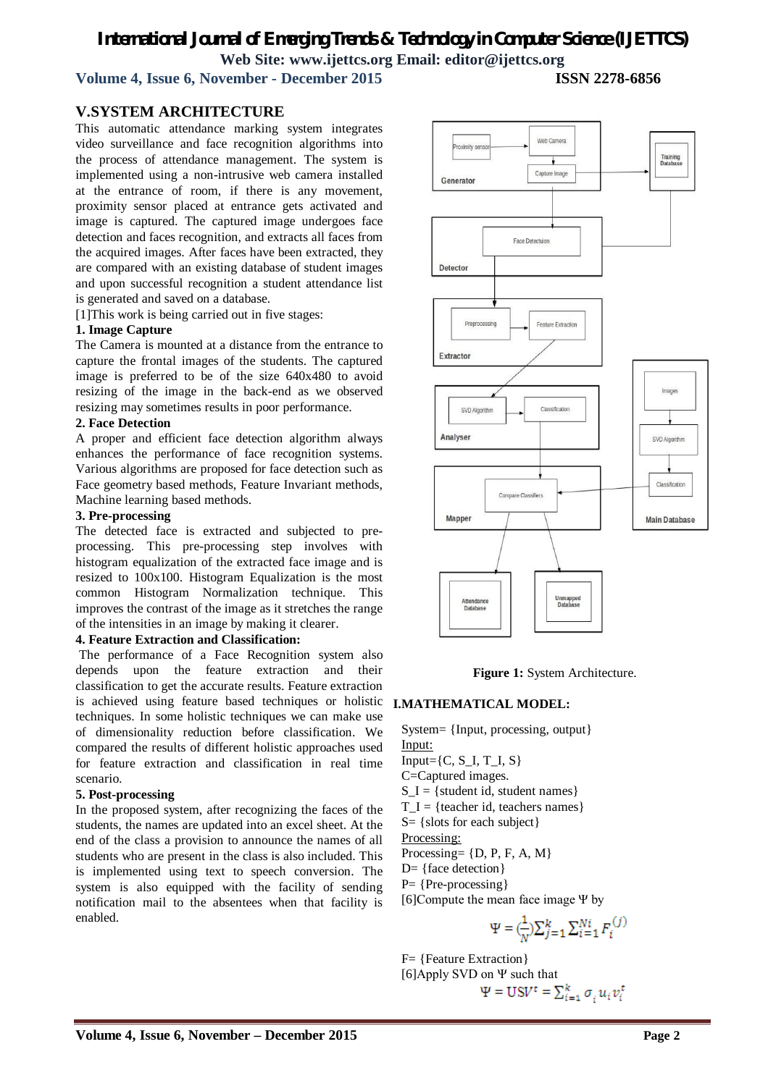# *International Journal of Emerging Trends & Technology in Computer Science (IJETTCS)* **Web Site: www.ijettcs.org Email: editor@ijettcs.org**

**Volume 4, Issue 6, November - December 2015** 

### **V.SYSTEM ARCHITECTURE**

This automatic attendance marking system integrates video surveillance and face recognition algorithms into the process of attendance management. The system is implemented using a non-intrusive web camera installed at the entrance of room, if there is any movement, proximity sensor placed at entrance gets activated and image is captured. The captured image undergoes face detection and faces recognition, and extracts all faces from the acquired images. After faces have been extracted, they are compared with an existing database of student images and upon successful recognition a student attendance list is generated and saved on a database.

[1]This work is being carried out in five stages:

#### **1. Image Capture**

The Camera is mounted at a distance from the entrance to capture the frontal images of the students. The captured image is preferred to be of the size 640x480 to avoid resizing of the image in the back-end as we observed resizing may sometimes results in poor performance.

#### **2. Face Detection**

A proper and efficient face detection algorithm always enhances the performance of face recognition systems. Various algorithms are proposed for face detection such as Face geometry based methods, Feature Invariant methods, Machine learning based methods.

#### **3. Pre-processing**

The detected face is extracted and subjected to preprocessing. This pre-processing step involves with histogram equalization of the extracted face image and is resized to 100x100. Histogram Equalization is the most common Histogram Normalization technique. This improves the contrast of the image as it stretches the range of the intensities in an image by making it clearer.

#### **4. Feature Extraction and Classification:**

The performance of a Face Recognition system also depends upon the feature extraction and their classification to get the accurate results. Feature extraction is achieved using feature based techniques or holistic **I.MATHEMATICAL MODEL:** techniques. In some holistic techniques we can make use of dimensionality reduction before classification. We compared the results of different holistic approaches used for feature extraction and classification in real time scenario.

#### **5. Post-processing**

In the proposed system, after recognizing the faces of the students, the names are updated into an excel sheet. At the end of the class a provision to announce the names of all students who are present in the class is also included. This is implemented using text to speech conversion. The system is also equipped with the facility of sending notification mail to the absentees when that facility is enabled.



#### **Figure 1:** System Architecture.

System= {Input, processing, output} Input:  $Input = \{C, S_I, T_I, S\}$ C=Captured images.  $S_I = \{ student id, student names\}$  $T_I = {teacher id, teachers names}$ S= {slots for each subject}

Processing:

Processing=  $\{D, P, F, A, M\}$ 

D= {face detection}

P= {Pre-processing}

[6]Compute the mean face image Ψ by

$$
\Psi = \left(\frac{1}{N}\right)\sum_{j=1}^{k} \sum_{i=1}^{Ni} F_i^{(j)}
$$

F= {Feature Extraction}

[6]Apply SVD on Ψ such that

$$
\Psi = \text{USV}^t = \sum_{i=1}^k \sigma_i u_i v_i^t
$$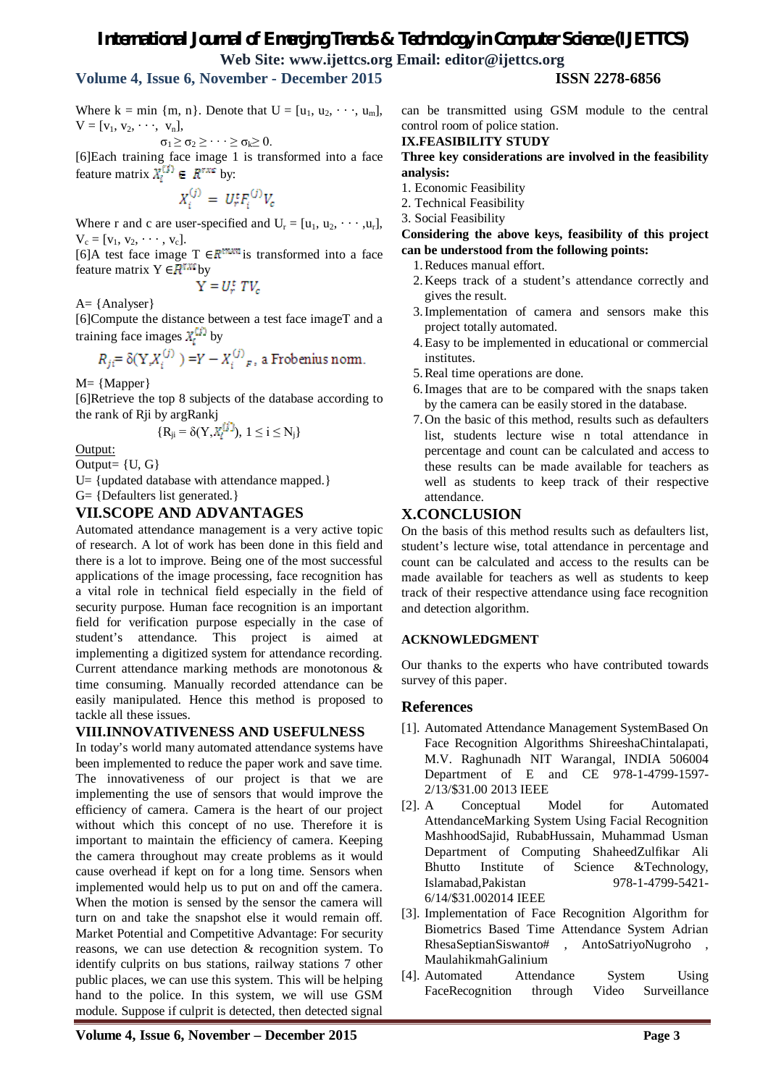# *International Journal of Emerging Trends & Technology in Computer Science (IJETTCS)* **Web Site: www.ijettcs.org Email: editor@ijettcs.org**

# **Volume 4, Issue 6, November - December 2015 ISSN 2278-6856**

Where  $k = min \{m, n\}$ . Denote that  $U = [u_1, u_2, \dots, u_m],$  $V = [v_1, v_2, \dots, v_n],$ 

$$
\sigma_1\!\geq\!\sigma_2\!\geq\!\cdot\cdot\cdot\!\geq\!\sigma_k\!\!\geq 0.
$$

[6]Each training face image 1 is transformed into a face feature matrix  $X_i^{\cup} \in \mathbb{R}^{r \times r}$  by:

$$
X_i^{(j)} = U_r^t F_i^{(j)} V_c
$$

Where r and c are user-specified and  $U_r = [u_1, u_2, \cdots, u_r]$ ,  $V_c = [v_1, v_2, \cdots, v_c].$ 

[6]A test face image T  $\in \mathbb{R}^{m \times m}$  is transformed into a face feature matrix  $Y \in \mathbb{R}^{r,m}$  by

$$
Y = U_r^t \; T V_c
$$

A= {Analyser}

[6]Compute the distance between a test face imageT and a training face images  $X_i^{(j)}$  by

$$
R_{ji} = \delta(Y_i X_i^{(j)}) = Y - X_i^{(j)}_F
$$
, a Frobenius norm.

M= {Mapper}

[6]Retrieve the top 8 subjects of the database according to the rank of Rji by argRankj

$$
\{R_{ji}=\delta(Y,X_i^{[j]})\}, 1\leq i\leq N_j\}
$$

Output: Output= {U, G}

U= {updated database with attendance mapped.} G= {Defaulters list generated.}

### **VII.SCOPE AND ADVANTAGES**

Automated attendance management is a very active topic of research. A lot of work has been done in this field and there is a lot to improve. Being one of the most successful applications of the image processing, face recognition has a vital role in technical field especially in the field of security purpose. Human face recognition is an important field for verification purpose especially in the case of student's attendance. This project is aimed at implementing a digitized system for attendance recording. Current attendance marking methods are monotonous & time consuming. Manually recorded attendance can be easily manipulated. Hence this method is proposed to tackle all these issues.

#### **VIII.INNOVATIVENESS AND USEFULNESS**

In today's world many automated attendance systems have been implemented to reduce the paper work and save time. The innovativeness of our project is that we are implementing the use of sensors that would improve the efficiency of camera. Camera is the heart of our project without which this concept of no use. Therefore it is important to maintain the efficiency of camera. Keeping the camera throughout may create problems as it would cause overhead if kept on for a long time. Sensors when implemented would help us to put on and off the camera. When the motion is sensed by the sensor the camera will turn on and take the snapshot else it would remain off. Market Potential and Competitive Advantage: For security reasons, we can use detection & recognition system. To identify culprits on bus stations, railway stations 7 other public places, we can use this system. This will be helping hand to the police. In this system, we will use GSM module. Suppose if culprit is detected, then detected signal can be transmitted using GSM module to the central control room of police station.

#### **IX.FEASIBILITY STUDY**

**Three key considerations are involved in the feasibility analysis:**

- 1. Economic Feasibility
- 2. Technical Feasibility
- 3. Social Feasibility

**Considering the above keys, feasibility of this project can be understood from the following points:**

- 1.Reduces manual effort.
- 2.Keeps track of a student's attendance correctly and gives the result.
- 3.Implementation of camera and sensors make this project totally automated.
- 4.Easy to be implemented in educational or commercial institutes.
- 5.Real time operations are done.
- 6.Images that are to be compared with the snaps taken by the camera can be easily stored in the database.
- 7.On the basic of this method, results such as defaulters list, students lecture wise n total attendance in percentage and count can be calculated and access to these results can be made available for teachers as well as students to keep track of their respective attendance.

# **X.CONCLUSION**

On the basis of this method results such as defaulters list, student's lecture wise, total attendance in percentage and count can be calculated and access to the results can be made available for teachers as well as students to keep track of their respective attendance using face recognition and detection algorithm.

#### **ACKNOWLEDGMENT**

Our thanks to the experts who have contributed towards survey of this paper.

#### **References**

- [1]. Automated Attendance Management SystemBased On Face Recognition Algorithms ShireeshaChintalapati, M.V. Raghunadh NIT Warangal, INDIA 506004 Department of E and CE 978-1-4799-1597- 2/13/\$31.00 2013 IEEE
- [2]. A Conceptual Model for Automated AttendanceMarking System Using Facial Recognition MashhoodSajid, RubabHussain, Muhammad Usman Department of Computing ShaheedZulfikar Ali Bhutto Institute of Science &Technology, Islamabad,Pakistan 978-1-4799-5421- 6/14/\$31.002014 IEEE
- [3]. Implementation of Face Recognition Algorithm for Biometrics Based Time Attendance System Adrian RhesaSeptianSiswanto# , AntoSatriyoNugroho , MaulahikmahGalinium
- [4]. Automated Attendance System Using FaceRecognition through Video Surveillance